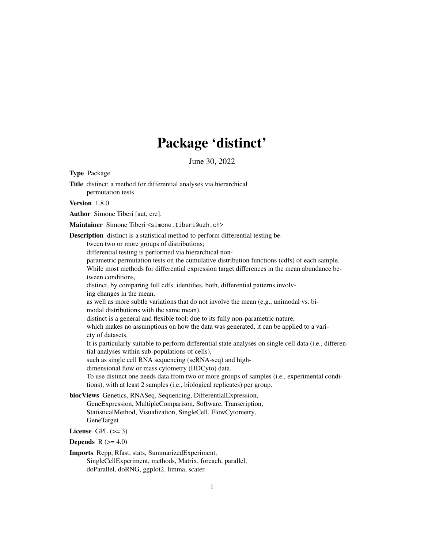# Package 'distinct'

June 30, 2022

<span id="page-0-0"></span>Type Package

Title distinct: a method for differential analyses via hierarchical permutation tests Version 1.8.0 Author Simone Tiberi [aut, cre]. Maintainer Simone Tiberi <simone.tiberi@uzh.ch> Description distinct is a statistical method to perform differential testing between two or more groups of distributions; differential testing is performed via hierarchical nonparametric permutation tests on the cumulative distribution functions (cdfs) of each sample. While most methods for differential expression target differences in the mean abundance between conditions, distinct, by comparing full cdfs, identifies, both, differential patterns involving changes in the mean, as well as more subtle variations that do not involve the mean (e.g., unimodal vs. bimodal distributions with the same mean). distinct is a general and flexible tool: due to its fully non-parametric nature, which makes no assumptions on how the data was generated, it can be applied to a variety of datasets. It is particularly suitable to perform differential state analyses on single cell data (i.e., differential analyses within sub-populations of cells), such as single cell RNA sequencing (scRNA-seq) and highdimensional flow or mass cytometry (HDCyto) data. To use distinct one needs data from two or more groups of samples (i.e., experimental conditions), with at least 2 samples (i.e., biological replicates) per group. biocViews Genetics, RNASeq, Sequencing, DifferentialExpression, GeneExpression, MultipleComparison, Software, Transcription, StatisticalMethod, Visualization, SingleCell, FlowCytometry, GeneTarget

License GPL  $(>= 3)$ 

Depends  $R$  ( $>= 4.0$ )

Imports Rcpp, Rfast, stats, SummarizedExperiment, SingleCellExperiment, methods, Matrix, foreach, parallel, doParallel, doRNG, ggplot2, limma, scater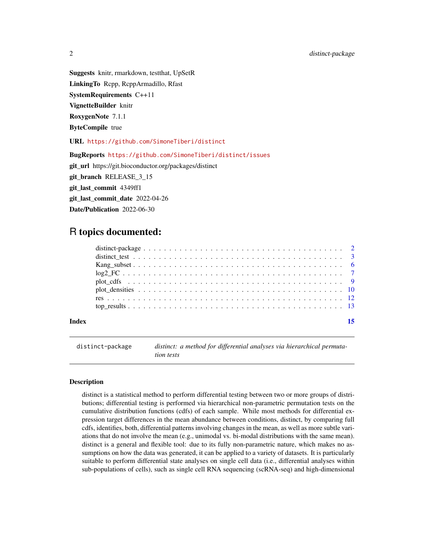Suggests knitr, rmarkdown, testthat, UpSetR

LinkingTo Rcpp, RcppArmadillo, Rfast

SystemRequirements C++11

VignetteBuilder knitr

RoxygenNote 7.1.1

ByteCompile true

URL <https://github.com/SimoneTiberi/distinct>

BugReports <https://github.com/SimoneTiberi/distinct/issues>

git\_url https://git.bioconductor.org/packages/distinct

git branch RELEASE 3 15

git last commit 4349ff1

git\_last\_commit\_date 2022-04-26

Date/Publication 2022-06-30

# R topics documented:

#### **Index** [15](#page-14-0)

distinct-package *distinct: a method for differential analyses via hierarchical permutation tests*

#### Description

distinct is a statistical method to perform differential testing between two or more groups of distributions; differential testing is performed via hierarchical non-parametric permutation tests on the cumulative distribution functions (cdfs) of each sample. While most methods for differential expression target differences in the mean abundance between conditions, distinct, by comparing full cdfs, identifies, both, differential patterns involving changes in the mean, as well as more subtle variations that do not involve the mean (e.g., unimodal vs. bi-modal distributions with the same mean). distinct is a general and flexible tool: due to its fully non-parametric nature, which makes no assumptions on how the data was generated, it can be applied to a variety of datasets. It is particularly suitable to perform differential state analyses on single cell data (i.e., differential analyses within sub-populations of cells), such as single cell RNA sequencing (scRNA-seq) and high-dimensional

<span id="page-1-0"></span>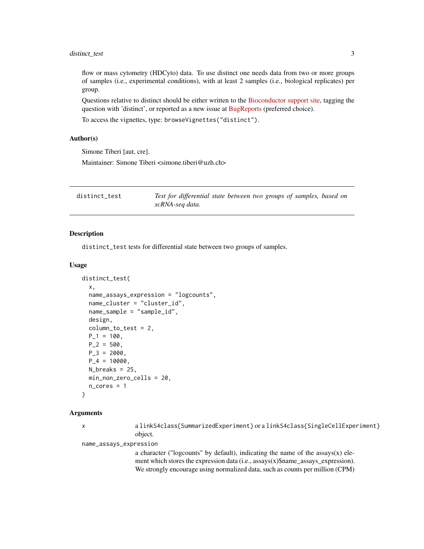<span id="page-2-0"></span>flow or mass cytometry (HDCyto) data. To use distinct one needs data from two or more groups of samples (i.e., experimental conditions), with at least 2 samples (i.e., biological replicates) per group.

Questions relative to distinct should be either written to the [Bioconductor support site,](https://support.bioconductor.org) tagging the question with 'distinct', or reported as a new issue at [BugReports](https://github.com/SimoneTiberi/distinct/issues) (preferred choice).

To access the vignettes, type: browseVignettes("distinct").

#### Author(s)

Simone Tiberi [aut, cre].

Maintainer: Simone Tiberi <simone.tiberi@uzh.ch>

<span id="page-2-1"></span>

| distinct_test | Test for differential state between two groups of samples, based on |  |
|---------------|---------------------------------------------------------------------|--|
|               | scRNA-seg data.                                                     |  |

#### Description

distinct\_test tests for differential state between two groups of samples.

#### Usage

```
distinct_test(
  x,
 name_assays_expression = "logcounts",
 name_cluster = "cluster_id",
  name_sample = "sample_id",
 design,
  column_to_test = 2,
 P_1 = 100,
 P_2 = 500,
 P_3 = 2000,
 P_4 = 10000,N_breaks = 25,
 min_non_zero_cells = 20,
 n\_cores = 1)
```
#### Arguments

x a linkS4class{SummarizedExperiment} or a linkS4class{SingleCellExperiment} object.

name\_assays\_expression

a character ("logcounts" by default), indicating the name of the assays(x) element which stores the expression data (i.e., assays(x)\$name\_assays\_expression). We strongly encourage using normalized data, such as counts per million (CPM)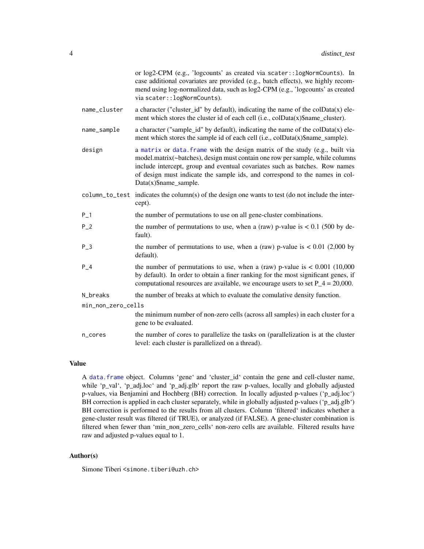<span id="page-3-0"></span>

|                    | or log2-CPM (e.g., 'logcounts' as created via scater:: logNormCounts). In<br>case additional covariates are provided (e.g., batch effects), we highly recom-<br>mend using log-normalized data, such as log2-CPM (e.g., 'logcounts' as created<br>via scater:: logNormCounts).                                                                          |
|--------------------|---------------------------------------------------------------------------------------------------------------------------------------------------------------------------------------------------------------------------------------------------------------------------------------------------------------------------------------------------------|
| name_cluster       | a character ("cluster_id" by default), indicating the name of the colData(x) ele-<br>ment which stores the cluster id of each cell (i.e., colData(x)\$name_cluster).                                                                                                                                                                                    |
| name_sample        | a character ("sample_id" by default), indicating the name of the $colData(x)$ ele-<br>ment which stores the sample id of each cell (i.e., colData(x)\$name_sample).                                                                                                                                                                                     |
| design             | a matrix or data. frame with the design matrix of the study (e.g., built via<br>model.matrix(~batches), design must contain one row per sample, while columns<br>include intercept, group and eventual covariates such as batches. Row names<br>of design must indicate the sample ids, and correspond to the names in col-<br>$Data(x)$ \$name_sample. |
|                    | column to test indicates the column(s) of the design one wants to test (do not include the inter-<br>cept).                                                                                                                                                                                                                                             |
| $P_{-}1$           | the number of permutations to use on all gene-cluster combinations.                                                                                                                                                                                                                                                                                     |
| $P_2$              | the number of permutations to use, when a (raw) p-value is $< 0.1$ (500 by de-<br>fault).                                                                                                                                                                                                                                                               |
| $P_3$              | the number of permutations to use, when a (raw) p-value is $< 0.01$ (2,000 by<br>default).                                                                                                                                                                                                                                                              |
| $P_4$              | the number of permutations to use, when a (raw) p-value is $< 0.001$ (10,000<br>by default). In order to obtain a finer ranking for the most significant genes, if<br>computational resources are available, we encourage users to set $P_4 = 20,000$ .                                                                                                 |
| N_breaks           | the number of breaks at which to evaluate the comulative density function.                                                                                                                                                                                                                                                                              |
| min_non_zero_cells |                                                                                                                                                                                                                                                                                                                                                         |
|                    | the minimum number of non-zero cells (across all samples) in each cluster for a<br>gene to be evaluated.                                                                                                                                                                                                                                                |
| n_cores            | the number of cores to parallelize the tasks on (parallelization is at the cluster<br>level: each cluster is parallelized on a thread).                                                                                                                                                                                                                 |

#### Value

A [data.frame](#page-0-0) object. Columns 'gene' and 'cluster\_id' contain the gene and cell-cluster name, while 'p\_val', 'p\_adj.loc' and 'p\_adj.glb' report the raw p-values, locally and globally adjusted p-values, via Benjamini and Hochberg (BH) correction. In locally adjusted p-values ('p\_adj.loc') BH correction is applied in each cluster separately, while in globally adjusted p-values ('p\_adj.glb') BH correction is performed to the results from all clusters. Column 'filtered' indicates whether a gene-cluster result was filtered (if TRUE), or analyzed (if FALSE). A gene-cluster combination is filtered when fewer than 'min\_non\_zero\_cells' non-zero cells are available. Filtered results have raw and adjusted p-values equal to 1.

#### Author(s)

Simone Tiberi <simone.tiberi@uzh.ch>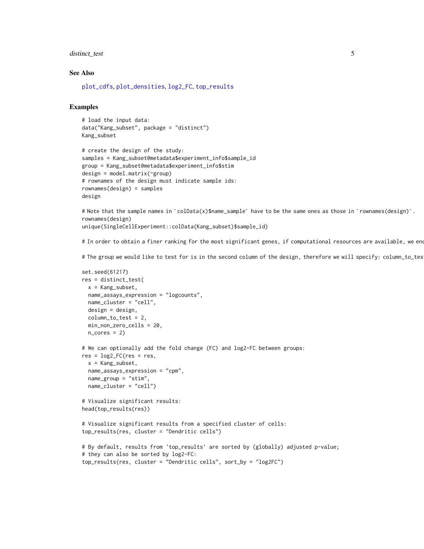#### <span id="page-4-0"></span>distinct\_test 5

#### See Also

[plot\\_cdfs](#page-8-1), [plot\\_densities](#page-9-1), [log2\\_FC](#page-6-1), [top\\_results](#page-12-1)

# Examples

```
# load the input data:
data("Kang_subset", package = "distinct")
Kang_subset
```

```
# create the design of the study:
samples = Kang_subset@metadata$experiment_info$sample_id
group = Kang_subset@metadata$experiment_info$stim
design = model.matrix(\neg group)# rownames of the design must indicate sample ids:
rownames(design) = samples
design
```
# Note that the sample names in `colData(x)\$name\_sample` have to be the same ones as those in `rownames(design)`. rownames(design) unique(SingleCellExperiment::colData(Kang\_subset)\$sample\_id)

# In order to obtain a finer ranking for the most significant genes, if computational resources are available, we en

# The group we would like to test for is in the second column of the design, therefore we will specify: column\_to\_tes

```
set.seed(61217)
res = distinct_test(
 x = Kang subset,
 name_assays_expression = "logcounts",
 name_cluster = "cell",
 design = design,
 column_to_test = 2,
 min_non_zero_cells = 20,
 n\_cores = 2)# We can optionally add the fold change (FC) and log2-FC between groups:
res = log2_FC(res = res,
 x = Kang_subset,
 name_assays_expression = "cpm",
 name_group = "stim",
 name_cluster = "cell")
# Visualize significant results:
head(top_results(res))
# Visualize significant results from a specified cluster of cells:
top_results(res, cluster = "Dendritic cells")
```

```
# By default, results from 'top_results' are sorted by (globally) adjusted p-value;
# they can also be sorted by log2-FC:
top_results(res, cluster = "Dendritic cells", sort_by = "log2FC")
```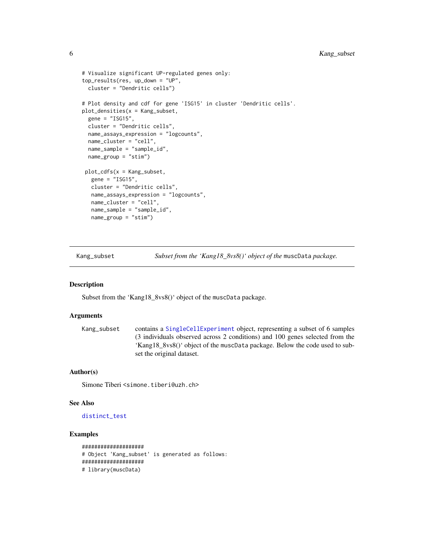```
# Visualize significant UP-regulated genes only:
top_results(res, up_down = "UP",
 cluster = "Dendritic cells")
# Plot density and cdf for gene 'ISG15' in cluster 'Dendritic cells'.
plot_densities(x = Kang_subset,
 gene = "ISG15",cluster = "Dendritic cells",
 name_assays_expression = "logcounts",
 name_cluster = "cell",
 name_sample = "sample_id",
 name_group = "stim")
plot_cdfs(x = Kang_subset,
  gene = "ISG15",
  cluster = "Dendritic cells",
  name_assays_expression = "logcounts",
  name_cluster = "cell",
  name_sample = "sample_id",
  name_group = "stim")
```
<span id="page-5-1"></span>Kang\_subset *Subset from the 'Kang18\_8vs8()' object of the* muscData *package.*

#### Description

Subset from the 'Kang18\_8vs8()' object of the muscData package.

#### Arguments

```
Kang_subset contains a SingleCellExperiment object, representing a subset of 6 samples
                  (3 individuals observed across 2 conditions) and 100 genes selected from the
                  'Kang18_8vs8()' object of the muscData package. Below the code used to sub-
                  set the original dataset.
```
# Author(s)

Simone Tiberi <simone.tiberi@uzh.ch>

#### See Also

[distinct\\_test](#page-2-1)

```
####################
# Object 'Kang_subset' is generated as follows:
####################
# library(muscData)
```
<span id="page-5-0"></span>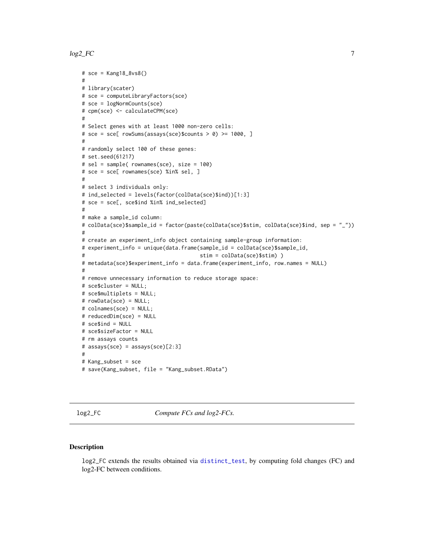#### <span id="page-6-0"></span> $log2\_FC$   $\hspace{0.5cm}$  7

```
# sce = Kang18_8vs8()
#
# library(scater)
# sce = computeLibraryFactors(sce)
# sce = logNormCounts(sce)
# cpm(sce) <- calculateCPM(sce)
#
# Select genes with at least 1000 non-zero cells:
# sce = sce[ rowSums(assays(sce)$counts > \theta) >= 1000, ]
#
# randomly select 100 of these genes:
# set.seed(61217)
# sel = sample( rownames(sce), size = 100)
# sce = sce[ rownames(sce) %in% sel, ]
#
# select 3 individuals only:
# ind_selected = levels(factor(colData(sce)$ind))[1:3]
# sce = sce[, sce$ind %in% ind_selected]
#
# make a sample_id column:
# colData(sce)$sample_id = factor(paste(colData(sce)$stim, colData(sce)$ind, sep = "_"))
#
# create an experiment_info object containing sample-group information:
# experiment_info = unique(data.frame(sample_id = colData(sce)$sample_id,
# stim = colData(sce)$stim) )
# metadata(sce)$experiment_info = data.frame(experiment_info, row.names = NULL)
#
# remove unnecessary information to reduce storage space:
# sce$cluster = NULL;
# sce$multiplets = NULL;
# rowData(sce) = NULL;
# colnames(sce) = NULL;
# reducedDim(sce) = NULL
# sce$ind = NULL
# sce$sizeFactor = NULL
# rm assays counts
# assays(sce) = assays(sce)[2:3]
#
# Kang_subset = sce
# save(Kang_subset, file = "Kang_subset.RData")
```
<span id="page-6-1"></span>log2\_FC *Compute FCs and log2-FCs.*

# Description

log2\_FC extends the results obtained via [distinct\\_test](#page-2-1), by computing fold changes (FC) and log2-FC between conditions.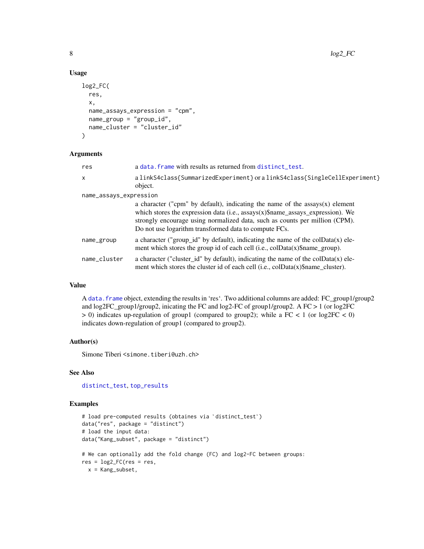# Usage

```
log2_FC(
  res,
  x,
  name_assays_expression = "cpm",
 name_group = "group_id",
 name_cluster = "cluster_id"
)
```
#### Arguments

| res                    | a data. frame with results as returned from distinct test.                                                                                                                                                                                                                                                  |
|------------------------|-------------------------------------------------------------------------------------------------------------------------------------------------------------------------------------------------------------------------------------------------------------------------------------------------------------|
| $\times$               | alinkS4class{SummarizedExperiment} or alinkS4class{SingleCellExperiment}<br>object.                                                                                                                                                                                                                         |
| name_assays_expression |                                                                                                                                                                                                                                                                                                             |
|                        | a character ("cpm" by default), indicating the name of the $assays(x)$ element<br>which stores the expression data (i.e., $assays(x)$ \$name_assays_expression). We<br>strongly encourage using normalized data, such as counts per million (CPM).<br>Do not use logarithm transformed data to compute FCs. |
| name_group             | a character ("group_id" by default), indicating the name of the colData(x) ele-<br>ment which stores the group id of each cell (i.e., $colData(x)\$ mame_group).                                                                                                                                            |
| name_cluster           | a character ("cluster_id" by default), indicating the name of the $colData(x)$ ele-<br>ment which stores the cluster id of each cell (i.e., $\text{colData}(x)$ \$name_cluster).                                                                                                                            |

#### Value

A [data.frame](#page-0-0) object, extending the results in 'res'. Two additional columns are added: FC\_group1/group2 and log2FC\_group1/group2, inicating the FC and log2-FC of group1/group2. A FC > 1 (or log2FC  $> 0$ ) indicates up-regulation of group1 (compared to group2); while a FC < 1 (or log2FC < 0) indicates down-regulation of group1 (compared to group2).

# Author(s)

Simone Tiberi <simone.tiberi@uzh.ch>

# See Also

[distinct\\_test](#page-2-1), [top\\_results](#page-12-1)

```
# load pre-computed results (obtaines via `distinct_test`)
data("res", package = "distinct")
# load the input data:
data("Kang_subset", package = "distinct")
# We can optionally add the fold change (FC) and log2-FC between groups:
res = log2_FC(res = res,x = Kang_subset,
```
<span id="page-7-0"></span>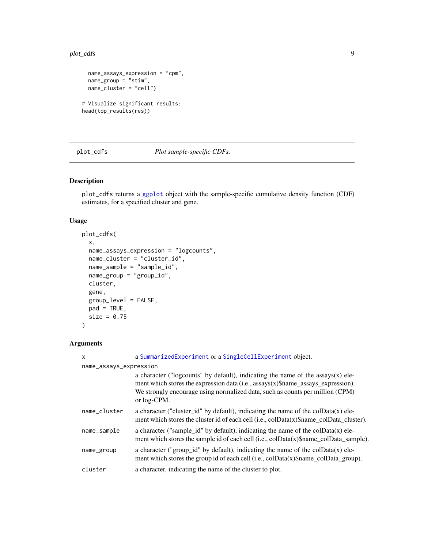#### <span id="page-8-0"></span>plot\_cdfs 9

```
name_assays_expression = "cpm",
  name_group = "stim",
 name_cluster = "cell")
# Visualize significant results:
head(top_results(res))
```
#### <span id="page-8-1"></span>plot\_cdfs *Plot sample-specific CDFs.*

#### Description

plot\_cdfs returns a [ggplot](#page-0-0) object with the sample-specific cumulative density function (CDF) estimates, for a specified cluster and gene.

# Usage

```
plot_cdfs(
 x,
  name_assays_expression = "logcounts",
 name_cluster = "cluster_id",
 name_sample = "sample_id",
 name_group = "group_id",
 cluster,
  gene,
 group_level = FALSE,
 pad = TRUE,size = 0.75\mathcal{L}
```
# Arguments

| x                      | a SummarizedExperiment or a SingleCellExperiment object.                                                                                                                                                                                                                        |
|------------------------|---------------------------------------------------------------------------------------------------------------------------------------------------------------------------------------------------------------------------------------------------------------------------------|
| name_assays_expression |                                                                                                                                                                                                                                                                                 |
|                        | a character ("logcounts" by default), indicating the name of the $assays(x)$ ele-<br>ment which stores the expression data (i.e., $\frac{assays(x)}{Shame}$ assays expression).<br>We strongly encourage using normalized data, such as counts per million (CPM)<br>or log-CPM. |
| name_cluster           | a character ("cluster_id" by default), indicating the name of the colData(x) ele-<br>ment which stores the cluster id of each cell (i.e., $\text{collData}(x)$ \$name colData cluster).                                                                                         |
| name_sample            | a character ("sample_id" by default), indicating the name of the colData(x) ele-<br>ment which stores the sample id of each cell (i.e., colData(x)\$name_colData_sample).                                                                                                       |
| name_group             | a character ("group_id" by default), indicating the name of the $colData(x)$ ele-<br>ment which stores the group id of each cell (i.e., colData(x)\$name_colData_group).                                                                                                        |
| cluster                | a character, indicating the name of the cluster to plot.                                                                                                                                                                                                                        |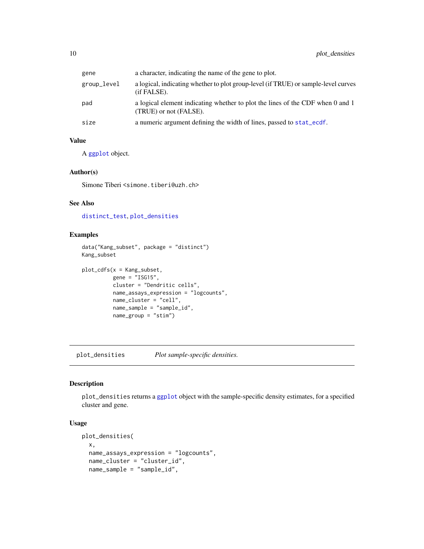<span id="page-9-0"></span>

| gene        | a character, indicating the name of the gene to plot.                                                    |
|-------------|----------------------------------------------------------------------------------------------------------|
| group_level | a logical, indicating whether to plot group-level (if TRUE) or sample-level curves<br>(if FALSE).        |
| pad         | a logical element indicating whether to plot the lines of the CDF when 0 and 1<br>(TRUE) or not (FALSE). |
| size        | a numeric argument defining the width of lines, passed to stat_ecdf.                                     |

# Value

A [ggplot](#page-0-0) object.

# Author(s)

Simone Tiberi <simone.tiberi@uzh.ch>

# See Also

[distinct\\_test](#page-2-1), [plot\\_densities](#page-9-1)

#### Examples

```
data("Kang_subset", package = "distinct")
Kang_subset
```

```
plot_cdfs(x = Kang_subset,
         gene = "ISG15",cluster = "Dendritic cells",
         name_assays_expression = "logcounts",
         name_cluster = "cell",
         name_sample = "sample_id",
         name_group = "stim")
```
<span id="page-9-1"></span>plot\_densities *Plot sample-specific densities.*

#### Description

plot\_densities returns a [ggplot](#page-0-0) object with the sample-specific density estimates, for a specified cluster and gene.

# Usage

```
plot_densities(
 x,
 name_assays_expression = "logcounts",
 name_cluster = "cluster_id",
 name_sample = "sample_id",
```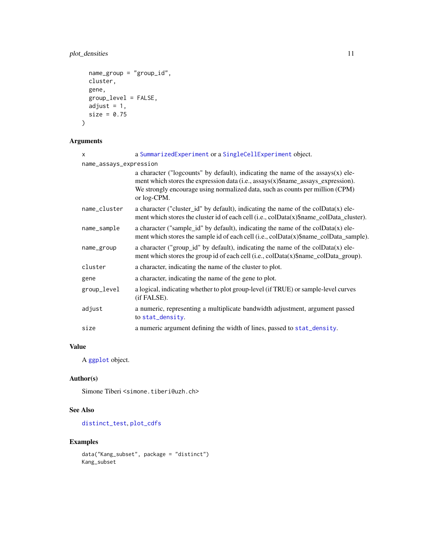# <span id="page-10-0"></span>plot\_densities 11

```
name_group = "group_id",
 cluster,
 gene,
 group_level = FALSE,
 adjust = 1,
 size = 0.75)
```
# Arguments

| $\times$               | a SummarizedExperiment or a SingleCellExperiment object.                                                                                                                                                                                                              |
|------------------------|-----------------------------------------------------------------------------------------------------------------------------------------------------------------------------------------------------------------------------------------------------------------------|
| name_assays_expression |                                                                                                                                                                                                                                                                       |
|                        | a character ("logcounts" by default), indicating the name of the $assays(x)$ ele-<br>ment which stores the expression data (i.e., assays(x)\$name_assays_expression).<br>We strongly encourage using normalized data, such as counts per million (CPM)<br>or log-CPM. |
| name_cluster           | a character ("cluster_id" by default), indicating the name of the colData(x) ele-<br>ment which stores the cluster id of each cell (i.e., colData(x)\$name_colData_cluster).                                                                                          |
| name_sample            | a character ("sample_id" by default), indicating the name of the colData(x) ele-<br>ment which stores the sample id of each cell (i.e., colData(x)\$name_colData_sample).                                                                                             |
| name_group             | a character ("group_id" by default), indicating the name of the $colData(x)$ ele-<br>ment which stores the group id of each cell (i.e., colData(x)\$name_colData_group).                                                                                              |
| cluster                | a character, indicating the name of the cluster to plot.                                                                                                                                                                                                              |
| gene                   | a character, indicating the name of the gene to plot.                                                                                                                                                                                                                 |
| group_level            | a logical, indicating whether to plot group-level (if TRUE) or sample-level curves<br>(if FALSE).                                                                                                                                                                     |
| adjust                 | a numeric, representing a multiplicate bandwidth adjustment, argument passed<br>to stat_density.                                                                                                                                                                      |
| size                   | a numeric argument defining the width of lines, passed to stat_density.                                                                                                                                                                                               |

# Value

A [ggplot](#page-0-0) object.

# Author(s)

Simone Tiberi <simone.tiberi@uzh.ch>

# See Also

[distinct\\_test](#page-2-1), [plot\\_cdfs](#page-8-1)

```
data("Kang_subset", package = "distinct")
Kang_subset
```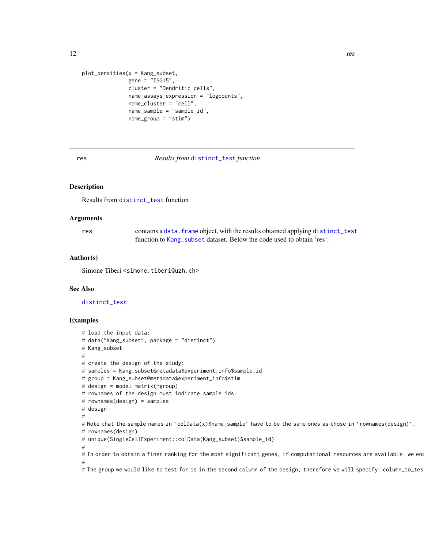```
plot_densities(x = Kang_subset,
              gene = "ISG15",cluster = "Dendritic cells",
              name_assays_expression = "logcounts",
              name_cluster = "cell",
              name_sample = "sample_id",
               name_group = "stim")
```
#### res *Results from* [distinct\\_test](#page-2-1) *function*

# Description

Results from [distinct\\_test](#page-2-1) function

#### Arguments

| res | contains a data. frame object, with the results obtained applying distinct_test |
|-----|---------------------------------------------------------------------------------|
|     | function to Kang subset dataset. Below the code used to obtain 'res'.           |

#### Author(s)

Simone Tiberi <simone.tiberi@uzh.ch>

#### See Also

[distinct\\_test](#page-2-1)

# Examples

```
# load the input data:
# data("Kang_subset", package = "distinct")
# Kang_subset
#
# create the design of the study:
# samples = Kang_subset@metadata$experiment_info$sample_id
# group = Kang_subset@metadata$experiment_info$stim
# design = model.matrix(~group)
# rownames of the design must indicate sample ids:
# rownames(design) = samples
# design
#
# Note that the sample names in `colData(x)$name_sample` have to be the same ones as those in `rownames(design)`.
# rownames(design)
# unique(SingleCellExperiment::colData(Kang_subset)$sample_id)
#
# In order to obtain a finer ranking for the most significant genes, if computational resources are available, we en
#
```
# The group we would like to test for is in the second column of the design, therefore we will specify: column\_to\_tes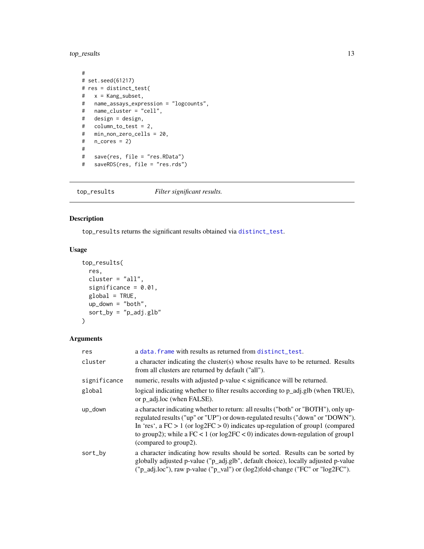<span id="page-12-0"></span>top\_results 13

```
#
# set.seed(61217)
# res = distinct_test(
# x = Kang_subset,
# name_assays_expression = "logcounts",
# name_cluster = "cell",
# design = design,
# column_to_test = 2,
# min_non_zero_cells = 20,
# n_{cores} = 2)#
# save(res, file = "res.RData")
# saveRDS(res, file = "res.rds")
```
<span id="page-12-1"></span>top\_results *Filter significant results.*

# Description

top\_results returns the significant results obtained via [distinct\\_test](#page-2-1).

# Usage

```
top_results(
  res,
 cluster = "all",significance = 0.01,
 global = TRUE,
 up\_down = "both",sort_by = "p\_adj.glb"\mathcal{L}
```
# Arguments

| res          | a data. frame with results as returned from distinct_test.                                                                                                                                                                                                                                                                                                                  |
|--------------|-----------------------------------------------------------------------------------------------------------------------------------------------------------------------------------------------------------------------------------------------------------------------------------------------------------------------------------------------------------------------------|
| cluster      | a character indicating the cluster(s) whose results have to be returned. Results<br>from all clusters are returned by default ("all").                                                                                                                                                                                                                                      |
| significance | numeric, results with adjusted p-value < significance will be returned.                                                                                                                                                                                                                                                                                                     |
| global       | logical indicating whether to filter results according to p_adj.glb (when TRUE),<br>or p adj.loc (when FALSE).                                                                                                                                                                                                                                                              |
| up_down      | a character indicating whether to return: all results ("both" or "BOTH"), only up-<br>regulated results ("up" or "UP") or down-regulated results ("down" or "DOWN").<br>In 'res', a $FC > 1$ (or $log2FC > 0$ ) indicates up-regulation of group1 (compared<br>to group2); while a $FC < 1$ (or $log2FC < 0$ ) indicates down-regulation of group1<br>(compared to group2). |
| sort_by      | a character indicating how results should be sorted. Results can be sorted by<br>globally adjusted p-value ("p_adj.glb", default choice), locally adjusted p-value<br>("p_adj.loc"), raw p-value ("p_val") or (log2)fold-change ("FC" or "log2FC").                                                                                                                         |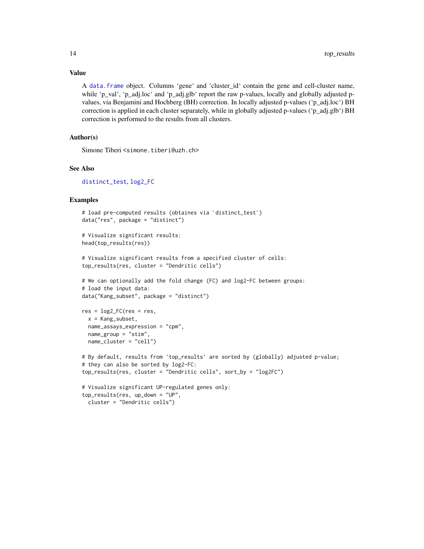# <span id="page-13-0"></span>Value

A [data.frame](#page-0-0) object. Columns 'gene' and 'cluster id' contain the gene and cell-cluster name, while 'p\_val', 'p\_adj.loc' and 'p\_adj.glb' report the raw p-values, locally and globally adjusted pvalues, via Benjamini and Hochberg (BH) correction. In locally adjusted p-values ('p\_adj.loc') BH correction is applied in each cluster separately, while in globally adjusted p-values ('p\_adj.glb') BH correction is performed to the results from all clusters.

# Author(s)

Simone Tiberi <simone.tiberi@uzh.ch>

# See Also

[distinct\\_test](#page-2-1), [log2\\_FC](#page-6-1)

```
# load pre-computed results (obtaines via `distinct_test`)
data("res", package = "distinct")
# Visualize significant results:
head(top_results(res))
# Visualize significant results from a specified cluster of cells:
top_results(res, cluster = "Dendritic cells")
# We can optionally add the fold change (FC) and log2-FC between groups:
# load the input data:
data("Kang_subset", package = "distinct")
```

```
res = log2_FC(res = res,
  x = Kang_subset,
  name_assays_expression = "cpm",
 name_group = "stim",
 name_cluster = "cell")
```

```
# By default, results from 'top_results' are sorted by (globally) adjusted p-value;
# they can also be sorted by log2-FC:
top_results(res, cluster = "Dendritic cells", sort_by = "log2FC")
# Visualize significant UP-regulated genes only:
```

```
top_results(res, up_down = "UP",
 cluster = "Dendritic cells")
```